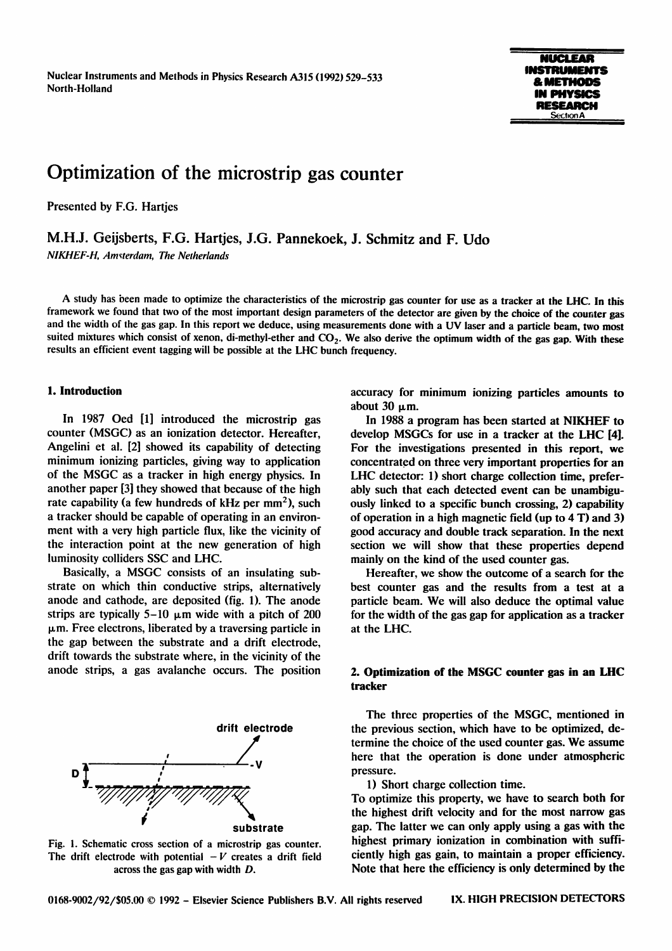Nuclear Instruments and Methods in Physics Research A315 (1992) 529-533 North-Holland

NUCLEAR INSTRUMENTS & METHODS IN PHYSICS **RESEARCH** SectionA

# Optimization of the microstrip gas counter

Presented by F.G. Hartjes

M.H.J. Geijsberts, F.G. Hartjes, J.G. Pannekoek, J. Schmitz and F. Udo

NIKHEF-H, Amsterdam, The Netherlands

A study has been made to optimize the characteristics of the microstrip gas counter for use as <sup>a</sup> tracker at the LHC. In this framework we found that two of the most important design parameters of the detector are given by the choice of the counter gas and the width of the gas gap. In this report we deduce, using measurements done with a UV laser and a particle beam, two most suited mixtures which consist of xenon, di-methyl-ether and  $CO<sub>2</sub>$ . We also derive the optimum width of the gas gap. With these results an efficient event tagging will be possible at the LHC bunch frequency.

## 1. Introduction

In 1987 Oed [1] introduced the microstrip gas counter (MSGC) as an ionization detector. Hereafter, Angelini et al. [2] showed its capability of detecting minimum ionizing particles, giving way to application of the MSGC as <sup>a</sup> tracker in high energy physics. In another paper [3] they showed that because of the high rate capability (a few hundreds of kHz per  $mm<sup>2</sup>$ ), such a tracker should be capable of operating in an environment with a very high particle flux, like the vicinity of the interaction point at the new generation of high luminosity colliders SSC and LHC.

Basically, <sup>a</sup> MSGC consists of an insulating substrate on which thin conductive strips, alternatively anode and cathode, are deposited (fig. 1). The anode strips are typically  $5-10 \mu m$  wide with a pitch of 200  $\mu$ m. Free electrons, liberated by a traversing particle in the gap between the substrate and a drift electrode, drift towards the substrate where, in the vicinity of the anode strips, a gas avalanche occurs. The position



Fig. 1. Schematic cross section of a microstrip gas counter. The drift electrode with potential  $-V$  creates a drift field across the gas gap with width D.

accuracy for minimum ionizing particles amounts to about  $30 \mu m$ .

In 1988 a program has been started at NIKHEF to develop MSGCs for use in a tracker at the LHC [4]. For the investigations presented in this report, we concentrated on three very important properties for an LHC detector: 1) short charge collection time, preferably such that each detected event can be unambiguously linked to a specific bunch crossing, 2) capability of operation in a high magnetic field (up to 4 T) and 3) good accuracy and double track separation. In the next section we will show that these properties depend mainly on the kind of the used counter gas.

Hereafter, we show the outcome of a search for the best counter gas and the results from a test at a particle beam. We will also deduce the optimal value for the width of the gas gap for application as a tracker at the LHC.

## 2. Optimization of the MSGC counter gas in an LHC tracker

The three properties of the MSGC, mentioned in the previous section, which have to be optimized, determine the choice of the used counter gas. We assume here that the operation is done under atmospheric pressure.

1) Short charge collection time.

To optimize this property, we have to search both for the highest drift velocity and for the most narrow gas gap. The latter we can only apply using a gas with the highest primary ionization in combination with sufficiently high gas gain, to maintain a proper efficiency. Note that here the efficiency is only determined by the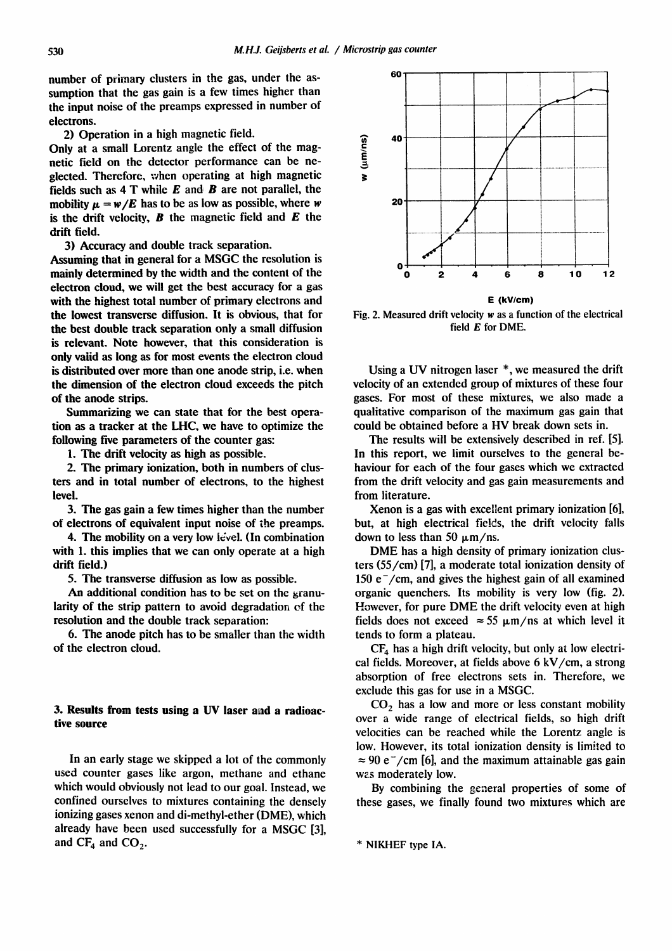number of primary clusters in the gas, under the assumption that the gas gain is a few times higher than the input noise of the preamps expressed in number of electrons.

2) Operation in a high magnetic field.

Only at a small Lorentz angle the effect of the magnetic field on the detector performance can be neglected. Therefore, when operating at high magnetic fields such as  $4$  T while E and B are not parallel, the mobility  $\mu = w/E$  has to be as low as possible, where w is the drift velocity,  $\bm{B}$  the magnetic field and  $\bm{E}$  the drift field.

3) Accuracy and double track separation.

Assuming that in general for <sup>a</sup> MSGC the resolution is mainly determined by the width and the content of the electron cloud, we will get the best accuracy for a gas with the highest total number of primary electrons and the lowest transverse diffusion. It is obvious, that for the best double track separation only a small diffusion is relevant. Note however, that this consideration is only valid as long as for most events the electron cloud is distributed over more than one anode strip, *i.e.* when the dimension of the electron cloud exceeds the pitch of the anode strips.

Summarizing we can state that for the best operation as <sup>a</sup> tracker at the LHC, we have to optimize the following five parameters of the counter gas:

1. The drift velocity as high as possible.

2. The primary ionization, both in numbers of clusters and in total number of electrons, to the highest level.

3. The gas gain a few times higher than the number of electrons of equivalent input noise of the preamps.

4. The mobility on a very low level. (In combination with 1. this implies that we can only operate at a high drift field.)

5. The transverse diffusion as low as possible .

An additional condition has to be set on the granularity of the strip pattern to avoid degradation of the resolution and the double track separation:

6. The anode pitch has to be smaller than the width of the electron cloud.

## 3. Results from tests using a UV laser and <sup>a</sup> radioactive source

In an early stage we skipped a lot of the commonly used counter gases like argon, methane and ethane which would obviously not lead to our goal. Instead, we confined ourselves to mixtures containing the densely ionizing gases xenon and di-methyl-ether (DME), which already have been used successfully for a MSGC [3], and  $CF_4$  and  $CO_2$ .



Fig. 2. Measured drift velocity  $w$  as a function of the electrical field E for DME.

Using <sup>a</sup> UV nitrogen laser \*, we measured the drift velocity of an extended group of mixtures of these four gases. For most of these mixtures, we also made <sup>a</sup> qualitative comparison of the maximum gas gain that could be obtained before <sup>a</sup> HV break down sets in.

The results will be extensively described in ref. [5]. In this report, we limit ourselves to the general behaviour for each of the four gases which we extracted from the drift velocity and gas gain measurements and from literature.

Xenon is a gas with excellent primary ionization [6], but, at high electrical fields, the drift velocity falls down to less than 50  $\mu$ m/ns.

DME has <sup>a</sup> high density of primary ionization clusters (55/cm) [7], a moderate total ionization density of 150  $e^-$ /cm, and gives the highest gain of all examined organic quenchers. Its mobility is very low (fig. 2). However, for pure DME the drift velocity even at high fields does not exceed  $\approx 55 \mu \text{m} / \text{ns}$  at which level it tends to form a plateau.

 $CF<sub>4</sub>$  has a high drift velocity, but only at low electrical fields. Moreover, at fields above <sup>6</sup> kV/cm, <sup>a</sup> strong absorption of free electrons sets in. Therefore, we exclude this gas for use in <sup>a</sup> MSGC.

 $CO<sub>2</sub>$  has a low and more or less constant mobility over a wide range of electrical fields, so high drift velocities can be reached while the Lorentz angle is low. However, its total ionization density is limited to  $\approx$  90 e<sup>-</sup>/cm [6], and the maximum attainable gas gain was moderately low.

By combining the general properties of some of these gases, we finally found two mixtures which are

\* NIKHEF type IA.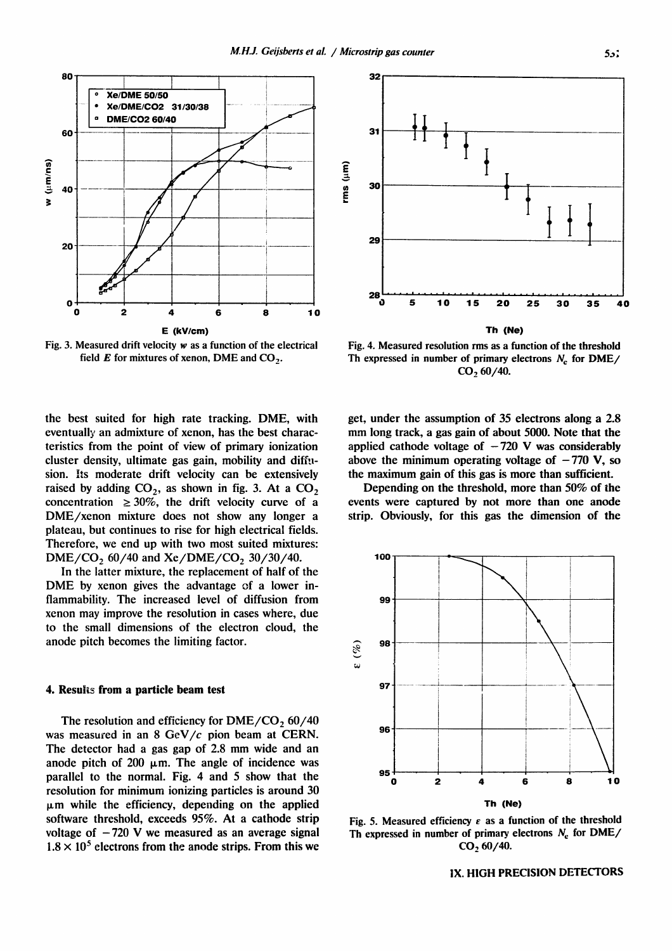

Fig. 3. Measured drift velocity  $w$  as a function of the electrical field  $E$  for mixtures of xenon, DME and CO<sub>2</sub>.

the best suited for high rate tracking. DME, with eventually an admixture of xenon, has the best characteristics from the point of view of primary ionization cluster density, ultimate gas gain, mobility and diffision. Its moderate drift velocity can be extensively raised by adding  $CO<sub>2</sub>$ , as shown in fig. 3. At a  $CO<sub>2</sub>$ concentration  $\geq 30\%$ , the drift velocity curve of a DME/xenon mixture does not show any longer a plateau, but continues to rise for high electrical fields. Therefore, we end up with two most suited mixtures:  $DME/CO_2$  60/40 and Xe/DME/CO<sub>2</sub> 30/30/40.

In the latter mixture, the replacement of half of the DME by xenon gives the advantage of <sup>a</sup> lower inflammability. The increased level of diffusion from xenon may improve the resolution in cases where, due to the small dimensions of the electron cloud, the anode pitch becomes the limiting factor.

#### 4. Results from a particle beam test

The resolution and efficiency for  $DME/CO<sub>2</sub> 60/40$ was measured in an 8 GeV/c pion beam at CERN. The detector had <sup>a</sup> gas gap of 2.8 mm wide and an anode pitch of 200  $\mu$ m. The angle of incidence was parallel to the normal. Fig. 4 and 5 show that the resolution for minimum ionizing particles is around 30  $\mu$ m while the efficiency, depending on the applied software threshold, exceeds 95%. At <sup>a</sup> cathode strip voltage of  $-720$  V we measured as an average signal  $1.8 \times 10^5$  electrons from the anode strips. From this we



Fig. 4. Measured resolution rms as a function of the threshold Th expressed in number of primary electrons  $N_c$  for DME/ CO, 60/40.

get, under the assumption of 35 electrons along a 2.8 mm long track, <sup>a</sup> gas gain of about 5000. Note that the applied cathode voltage of  $-720$  V was considerably above the minimum operating voltage of  $-770$  V, so the maximum gain of this gas is more than sufficient.

Depending on the threshold, more than 50% of the events were captured by not more than one anode strip. Obviously, for this gas the dimension of the



Fig. 5. Measured efficiency  $\epsilon$  as a function of the threshold Th expressed in number of primary electrons  $N_e$  for DME/ CO, 60/40.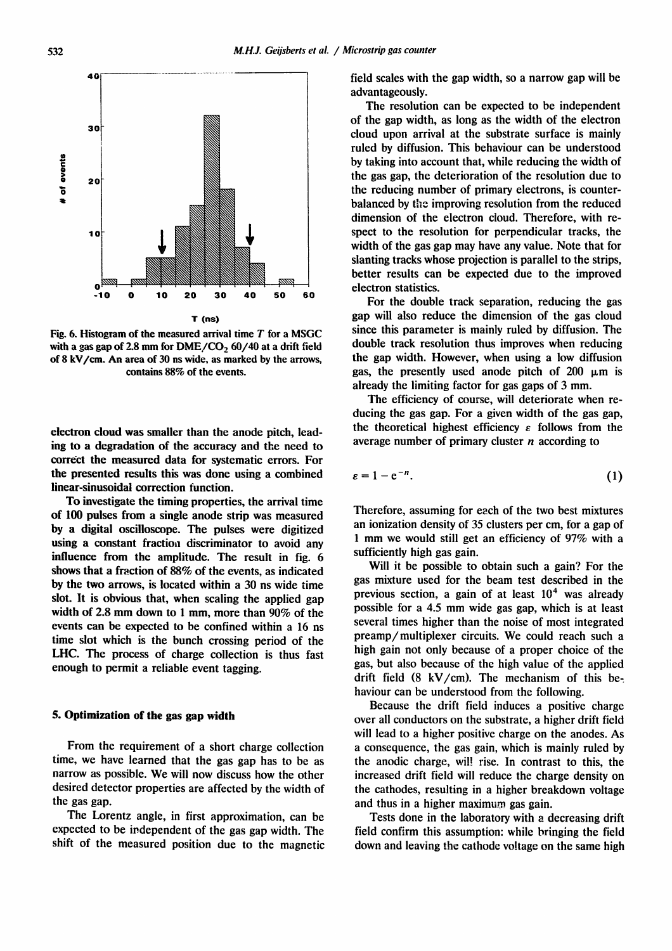

Fig. 6. Histogram of the measured arrival time  $T$  for a MSGC with a gas gap of 2.8 mm for  $DME/CO$ ,  $60/40$  at a drift field of <sup>8</sup> kV/cm. An area of 30 ns wide, as marked by the arrows, contains 88% of the events.

electron cloud was smaller than the anode pitch, leading to a degradation of the accuracy and the need to corréct the measured data for systematic errors. For the presented results this was done using a combined linear-sinusoidal correction function .

To investigate the timing properties, the arrival time of 100 pulses from a single anode strip was measured by a digital oscilloscope. The pulses were digitized using a constant fraction discriminator to avoid any influence from the amplitude. The result in fig. 6 shows that <sup>a</sup> fraction of 88% of the events, as indicated by the two arrows, is located within a 30 ns wide time slot. It is obvious that, when scaling the applied gap width of 2.8 mm down to <sup>1</sup> mm, more than 90% of the events can be expected to be confined within a 16 ns time slot which is the bunch crossing period of the LHC. The process of charge collection is thus fast enough to permit a reliable event tagging.

# 5. Optimization of the gas gap width

From the requirement of <sup>a</sup> short charge collection time, we have learned that the gas gap has to be as narrow as possible. We will now discuss how the other desired detector properties are affected by the width of the gas gap.

The Lorentz angle, in first approximation, can be expected to be independent of the gas gap width. The shift of the measured position due to the magnetic field scales with the gap width, so a narrow gap will be advantageously.

The resolution can be expected to be independent of the gap width, as long as the width of the electron cloud upon arrival at the substrate surface is mainly ruled by diffusion. This behaviour can be understood by taking into account that, while reducing the width of the gas gap, the deterioration of the resolution due to the reducing number of primary electrons, is counterbalanced by the improving resolution from the reduced dimension of the electron cloud. Therefore, with respect to the resolution for perpendicular tracks, the width of the gas gap may have any value. Note that for slanting tracks whose projection is parallel to the strips, better results can be expected due to the improved electron statistics.

For the double track separation, reducing the gas gap will also reduce the dimension of the gas cloud since this parameter is mainly ruled by diffusion. The double track resolution thus improves when reducing the gap width. However, when using a low diffusion gas, the presently used anode pitch of  $200 \mu m$  is already the limiting factor for gas gaps of <sup>3</sup> mm.

The efficiency of course, will deteriorate when reducing the gas gap. For a given width of the gas gap, the theoretical highest efficiency  $\varepsilon$  follows from the average number of primary cluster  $n$  according to

$$
\varepsilon = 1 - e^{-n}.\tag{1}
$$

Therefore, assuming for each of the two best mixtures an ionization density of 35 clusters per cm, for a gap of <sup>1</sup> mm we would still get an efficiency of 97% with <sup>a</sup> sufficiently high gas gain.

Will it be possible to obtain such a gain? For the gas mixture used for the beam test described in the previous section, a gain of at least  $10<sup>4</sup>$  was already possible for <sup>a</sup> 4.5 mm wide gas gap, which is at least several times higher than the noise of most integrated preamp/ multiplexer circuits. We could reach such <sup>a</sup> high gain not only because of a proper choice of the gas, but also because of the high value of the applied drift field (8 kV/cm). The mechanism of this behaviour can be understood from the following.

Because the drift field induces a positive charge over all conductors on the substrate, a higher drift field will lead to a higher positive charge on the anodes. As a consequence, the gas gain, which is mainly ruled by the anodic charge, will rise. In contrast to this, the increased drift field will reduce the charge density on the cathodes, resulting in a higher breakdown voltage and thus in a higher maximum, gas gain.

Tests done in the laboratory with a decreasing drift field confirm this assumption: while bringing the field down and leaving the cathode voltage on the same high